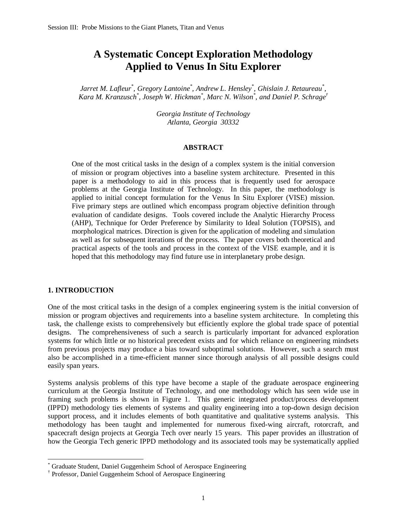# **A Systematic Concept Exploration Methodology Applied to Venus In Situ Explorer**

*Jarret M. Lafleur<sup>\*</sup>, Gregory Lantoine<sup>\*</sup>, Andrew L. Hensley<sup>\*</sup>, Ghislain J. Retaureau<sup>\*</sup>, Kara M. Kranzusch\* , Joseph W. Hickman\* , Marc N. Wilson\* , and Daniel P. Schrage†*

> *Georgia Institute of Technology Atlanta, Georgia 30332*

#### **ABSTRACT**

One of the most critical tasks in the design of a complex system is the initial conversion of mission or program objectives into a baseline system architecture. Presented in this paper is a methodology to aid in this process that is frequently used for aerospace problems at the Georgia Institute of Technology. In this paper, the methodology is applied to initial concept formulation for the Venus In Situ Explorer (VISE) mission. Five primary steps are outlined which encompass program objective definition through evaluation of candidate designs. Tools covered include the Analytic Hierarchy Process (AHP), Technique for Order Preference by Similarity to Ideal Solution (TOPSIS), and morphological matrices. Direction is given for the application of modeling and simulation as well as for subsequent iterations of the process. The paper covers both theoretical and practical aspects of the tools and process in the context of the VISE example, and it is hoped that this methodology may find future use in interplanetary probe design.

#### **1. INTRODUCTION**

<u>.</u>

One of the most critical tasks in the design of a complex engineering system is the initial conversion of mission or program objectives and requirements into a baseline system architecture. In completing this task, the challenge exists to comprehensively but efficiently explore the global trade space of potential designs. The comprehensiveness of such a search is particularly important for advanced exploration systems for which little or no historical precedent exists and for which reliance on engineering mindsets from previous projects may produce a bias toward suboptimal solutions. However, such a search must also be accomplished in a time-efficient manner since thorough analysis of all possible designs could easily span years.

Systems analysis problems of this type have become a staple of the graduate aerospace engineering curriculum at the Georgia Institute of Technology, and one methodology which has seen wide use in framing such problems is shown in Figure 1. This generic integrated product/process development (IPPD) methodology ties elements of systems and quality engineering into a top-down design decision support process, and it includes elements of both quantitative and qualitative systems analysis. This methodology has been taught and implemented for numerous fixed-wing aircraft, rotorcraft, and spacecraft design projects at Georgia Tech over nearly 15 years. This paper provides an illustration of how the Georgia Tech generic IPPD methodology and its associated tools may be systematically applied

<sup>\*</sup> Graduate Student, Daniel Guggenheim School of Aerospace Engineering

<sup>†</sup> Professor, Daniel Guggenheim School of Aerospace Engineering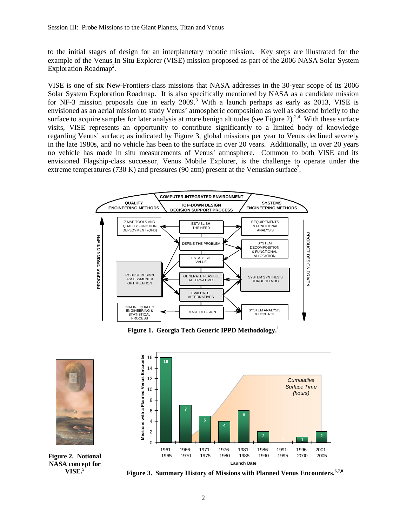to the initial stages of design for an interplanetary robotic mission. Key steps are illustrated for the example of the Venus In Situ Explorer (VISE) mission proposed as part of the 2006 NASA Solar System Exploration Roadmap<sup>2</sup>.

VISE is one of six New-Frontiers-class missions that NASA addresses in the 30-year scope of its 2006 Solar System Exploration Roadmap. It is also specifically mentioned by NASA as a candidate mission for NF-3 mission proposals due in early  $2009$ .<sup>3</sup> With a launch perhaps as early as  $2013$ , VISE is envisioned as an aerial mission to study Venus' atmospheric composition as well as descend briefly to the surface to acquire samples for later analysis at more benign altitudes (see Figure 2).<sup>2,4</sup> With these surface visits, VISE represents an opportunity to contribute significantly to a limited body of knowledge regarding Venus' surface; as indicated by Figure 3, global missions per year to Venus declined severely in the late 1980s, and no vehicle has been to the surface in over 20 years. Additionally, in over 20 years no vehicle has made in situ measurements of Venus' atmosphere. Common to both VISE and its envisioned Flagship-class successor, Venus Mobile Explorer, is the challenge to operate under the extreme temperatures (730 K) and pressures (90 atm) present at the Venusian surface<sup>2</sup>.



**Figure 1. Georgia Tech Generic IPPD Methodology.<sup>1</sup>**





**Figure 2. Notional NASA concept for VISE.<sup>5</sup>**

**Figure 3. Summary History of Missions with Planned Venus Encounters.6,7,8**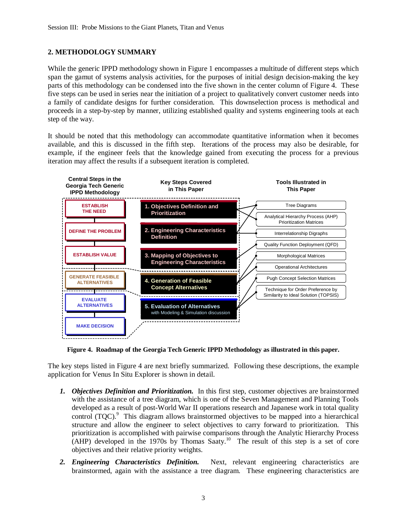## **2. METHODOLOGY SUMMARY**

While the generic IPPD methodology shown in Figure 1 encompasses a multitude of different steps which span the gamut of systems analysis activities, for the purposes of initial design decision-making the key parts of this methodology can be condensed into the five shown in the center column of Figure 4. These five steps can be used in series near the initiation of a project to qualitatively convert customer needs into a family of candidate designs for further consideration. This downselection process is methodical and proceeds in a step-by-step by manner, utilizing established quality and systems engineering tools at each step of the way.

It should be noted that this methodology can accommodate quantitative information when it becomes available, and this is discussed in the fifth step. Iterations of the process may also be desirable, for example, if the engineer feels that the knowledge gained from executing the process for a previous iteration may affect the results if a subsequent iteration is completed.



**Figure 4. Roadmap of the Georgia Tech Generic IPPD Methodology as illustrated in this paper.** 

The key steps listed in Figure 4 are next briefly summarized. Following these descriptions, the example application for Venus In Situ Explorer is shown in detail.

- *1. Objectives Definition and Prioritization.* In this first step, customer objectives are brainstormed with the assistance of a tree diagram, which is one of the Seven Management and Planning Tools developed as a result of post-World War II operations research and Japanese work in total quality control (TQC).<sup>9</sup> This diagram allows brainstormed objectives to be mapped into a hierarchical structure and allow the engineer to select objectives to carry forward to prioritization. This prioritization is accomplished with pairwise comparisons through the Analytic Hierarchy Process  $(AHP)$  developed in the 1970s by Thomas Saaty.<sup>10</sup> The result of this step is a set of core objectives and their relative priority weights.
- *2. Engineering Characteristics Definition.* Next, relevant engineering characteristics are brainstormed, again with the assistance a tree diagram. These engineering characteristics are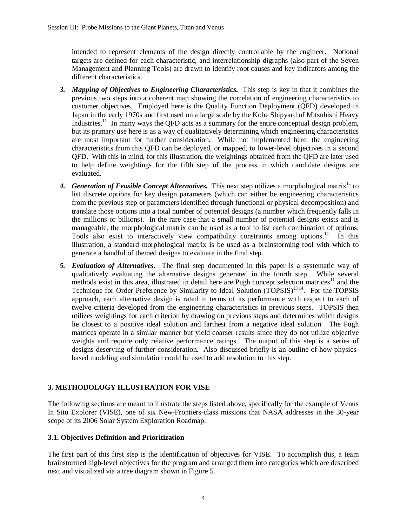intended to represent elements of the design directly controllable by the engineer. Notional targets are defined for each characteristic, and interrelationship digraphs (also part of the Seven Management and Planning Tools) are drawn to identify root causes and key indicators among the different characteristics.

- *3. Mapping of Objectives to Engineering Characteristics.* This step is key in that it combines the previous two steps into a coherent map showing the correlation of engineering characteristics to customer objectives. Employed here is the Quality Function Deployment (QFD) developed in Japan in the early 1970s and first used on a large scale by the Kobe Shipyard of Mitsubishi Heavy Industries.<sup>11</sup> In many ways the QFD acts as a summary for the entire conceptual design problem, but its primary use here is as a way of qualitatively determining which engineering characteristics are most important for further consideration. While not implemented here, the engineering characteristics from this QFD can be deployed, or mapped, to lower-level objectives in a second QFD. With this in mind, for this illustration, the weightings obtained from the QFD are later used to help define weightings for the fifth step of the process in which candidate designs are evaluated.
- 4. *Generation of Feasible Concept Alternatives*. This next step utilizes a morphological matrix<sup>11</sup> to list discrete options for key design parameters (which can either be engineering characteristics from the previous step or parameters identified through functional or physical decomposition) and translate those options into a total number of potential designs (a number which frequently falls in the millions or billions). In the rare case that a small number of potential designs exists and is manageable, the morphological matrix can be used as a tool to list each combination of options. Tools also exist to interactively view compatibility constraints among options.<sup>12</sup> In this illustration, a standard morphological matrix is be used as a brainstorming tool with which to generate a handful of themed designs to evaluate in the final step.
- *5. Evaluation of Alternatives.* The final step documented in this paper is a systematic way of qualitatively evaluating the alternative designs generated in the fourth step. While several methods exist in this area, illustrated in detail here are Pugh concept selection matrices<sup>11</sup> and the Technique for Order Preference by Similarity to Ideal Solution (TOPSIS)<sup>13,14</sup>. For the TOPSIS approach, each alternative design is rated in terms of its performance with respect to each of twelve criteria developed from the engineering characteristics in previous steps. TOPSIS then utilizes weightings for each criterion by drawing on previous steps and determines which designs lie closest to a positive ideal solution and farthest from a negative ideal solution. The Pugh matrices operate in a similar manner but yield coarser results since they do not utilize objective weights and require only relative performance ratings. The output of this step is a series of designs deserving of further consideration. Also discussed briefly is an outline of how physicsbased modeling and simulation could be used to add resolution to this step.

# **3. METHODOLOGY ILLUSTRATION FOR VISE**

The following sections are meant to illustrate the steps listed above, specifically for the example of Venus In Situ Explorer (VISE), one of six New-Frontiers-class missions that NASA addresses in the 30-year scope of its 2006 Solar System Exploration Roadmap.

## **3.1. Objectives Definition and Prioritization**

The first part of this first step is the identification of objectives for VISE. To accomplish this, a team brainstormed high-level objectives for the program and arranged them into categories which are described next and visualized via a tree diagram shown in Figure 5.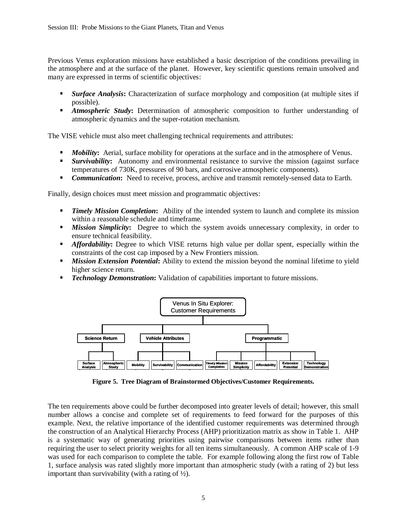Previous Venus exploration missions have established a basic description of the conditions prevailing in the atmosphere and at the surface of the planet. However, key scientific questions remain unsolved and many are expressed in terms of scientific objectives:

- *Surface Analysis***:** Characterization of surface morphology and composition (at multiple sites if possible).
- *Atmospheric Study***:** Determination of atmospheric composition to further understanding of atmospheric dynamics and the super-rotation mechanism.

The VISE vehicle must also meet challenging technical requirements and attributes:

- *Mobility***:** Aerial, surface mobility for operations at the surface and in the atmosphere of Venus.
- **Survivability:** Autonomy and environmental resistance to survive the mission (against surface temperatures of 730K, pressures of 90 bars, and corrosive atmospheric components).
- **Communication:** Need to receive, process, archive and transmit remotely-sensed data to Earth.

Finally, design choices must meet mission and programmatic objectives:

- **Timely Mission Completion:** Ability of the intended system to launch and complete its mission within a reasonable schedule and timeframe.
- **Mission Simplicity:** Degree to which the system avoids unnecessary complexity, in order to ensure technical feasibility.
- *Affordability*: Degree to which VISE returns high value per dollar spent, especially within the constraints of the cost cap imposed by a New Frontiers mission.
- **Mission Extension Potential**: Ability to extend the mission beyond the nominal lifetime to yield higher science return.
- *Technology Demonstration*: Validation of capabilities important to future missions.



**Figure 5. Tree Diagram of Brainstormed Objectives/Customer Requirements.** 

The ten requirements above could be further decomposed into greater levels of detail; however, this small number allows a concise and complete set of requirements to feed forward for the purposes of this example. Next, the relative importance of the identified customer requirements was determined through the construction of an Analytical Hierarchy Process (AHP) prioritization matrix as show in Table 1. AHP is a systematic way of generating priorities using pairwise comparisons between items rather than requiring the user to select priority weights for all ten items simultaneously. A common AHP scale of 1-9 was used for each comparison to complete the table. For example following along the first row of Table 1, surface analysis was rated slightly more important than atmospheric study (with a rating of 2) but less important than survivability (with a rating of  $\frac{1}{2}$ ).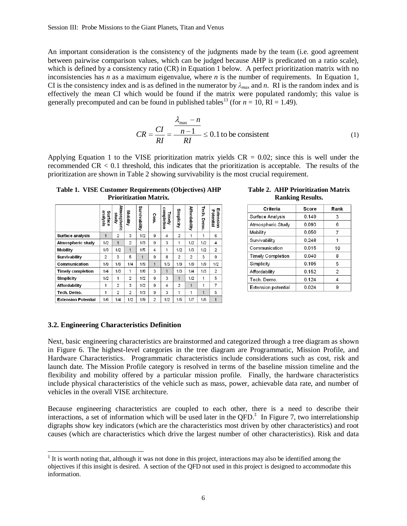An important consideration is the consistency of the judgments made by the team (i.e. good agreement between pairwise comparison values, which can be judged because AHP is predicated on a ratio scale), which is defined by a consistency ratio (CR) in Equation 1 below. A perfect prioritization matrix with no inconsistencies has  $n$  as a maximum eigenvalue, where  $n$  is the number of requirements. In Equation 1, CI is the consistency index and is as defined in the numerator by  $\lambda_{max}$  and *n*. RI is the random index and is effectively the mean CI which would be found if the matrix were populated randomly; this value is generally precomputed and can be found in published tables<sup>13</sup> (for  $n = 10$ , RI = 1.49).

$$
CR = \frac{CI}{RI} = \frac{\frac{\lambda_{\text{max}} - n}{n - 1}}{RI} \le 0.1 \text{ to be consistent}
$$
 (1)

Applying Equation 1 to the VISE prioritization matrix yields  $CR = 0.02$ ; since this is well under the recommended CR < 0.1 threshold, this indicates that the prioritization is acceptable. The results of the prioritization are shown in Table 2 showing survivability is the most crucial requirement.

**Table 1. VISE Customer Requirements (Objectives) AHP Prioritization Matrix.** 

|                            | analysis<br>Surface | Atmospheric<br>kpms | Mobility       | Survivability  | Com.           | completion<br>Timely | Simplicity     | Affordability  | Tech.<br>Demo. | <b>Extension</b><br>Potential |
|----------------------------|---------------------|---------------------|----------------|----------------|----------------|----------------------|----------------|----------------|----------------|-------------------------------|
| Surface analysis           | $\mathbf{1}$        | 2                   | 3              | 1/2            | 9              | 4                    | $\overline{2}$ | 1              | 1              | 6                             |
| Atmospheric study          | 1/2                 | 1                   | $\overline{2}$ | 1/3            | 9              | 3                    | 1              | 1/2            | 1/2            | 4                             |
| <b>Mobility</b>            | 1/3                 | 1/2                 | 1              | 1/5            | 4              | 1                    | 1/2            | 1/3            | 1/2            | $\overline{c}$                |
| <b>Survivability</b>       | $\overline{2}$      | 3                   | 5              | $\overline{1}$ | 9              | 6                    | $\overline{2}$ | $\overline{c}$ | 3              | 9                             |
| Communication              | 1/9                 | 1/9                 | 1/4            | 1/9            | 1              | 1/3                  | 1/9            | 1/9            | 1/9            | 1/2                           |
| <b>Timely completion</b>   | 1/4                 | 1/3                 | 1              | 1/6            | 3              | $\blacktriangleleft$ | 1/3            | 1/4            | 1/3            | $\overline{c}$                |
| Simplicity                 | 1/2                 | 1                   | $\overline{2}$ | 1/2            | 9              | 3                    | 1              | 1/2            | 1              | 5                             |
| Affordability              | 1                   | $\overline{2}$      | 3              | 1/2            | 9              | 4                    | $\overline{2}$ | 1              | 1              | 7                             |
| Tech. Demo.                | $\mathbf{1}$        | 2                   | $\overline{2}$ | 1/3            | 9              | 3                    | 1              | 1              | 1              | 5                             |
| <b>Extension Potential</b> | 1/6                 | 1/4                 | 1/2            | 1/9            | $\overline{2}$ | 1/2                  | 1/5            | 1/7            | 1/5            | 1                             |

| Table 2. AHP Prioritization Matrix |
|------------------------------------|
| <b>Ranking Results.</b>            |

| Criteria                   | Score   | Rank           |
|----------------------------|---------|----------------|
| Surface Analysis           | 0.149   | 3              |
| Atmospheric Study          | 0.093   | 6              |
| Mobility                   | 0.050   | 7              |
| Survivability              | 0.248   | 1              |
| Communication              | 0.015   | 10             |
| <b>Timely Completion</b>   | 0.040   | 8              |
| Simplicity                 | 0 1 0 5 | 5              |
| Affordability              | 0.152   | $\overline{2}$ |
| Tech. Demo.                | 0.124   | 4              |
| <b>Extension potential</b> | 0.024   | 9              |

#### **3.2. Engineering Characteristics Definition**

-

Next, basic engineering characteristics are brainstormed and categorized through a tree diagram as shown in Figure 6. The highest-level categories in the tree diagram are Programmatic, Mission Profile, and Hardware Characteristics. Programmatic characteristics include considerations such as cost, risk and launch date. The Mission Profile category is resolved in terms of the baseline mission timeline and the flexibility and mobility offered by a particular mission profile. Finally, the hardware characteristics include physical characteristics of the vehicle such as mass, power, achievable data rate, and number of vehicles in the overall VISE architecture.

Because engineering characteristics are coupled to each other, there is a need to describe their interactions, a set of information which will be used later in the QFD. $^{\ddagger}$  In Figure 7, two interrelationship digraphs show key indicators (which are the characteristics most driven by other characteristics) and root causes (which are characteristics which drive the largest number of other characteristics). Risk and data

<sup>‡</sup> It is worth noting that, although it was not done in this project, interactions may also be identified among the objectives if this insight is desired. A section of the QFD not used in this project is designed to accommodate this information.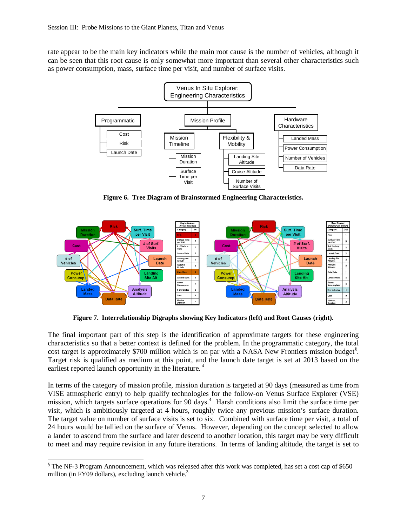rate appear to be the main key indicators while the main root cause is the number of vehicles, although it can be seen that this root cause is only somewhat more important than several other characteristics such as power consumption, mass, surface time per visit, and number of surface visits.



**Figure 6. Tree Diagram of Brainstormed Engineering Characteristics.** 



**Figure 7. Interrelationship Digraphs showing Key Indicators (left) and Root Causes (right).** 

The final important part of this step is the identification of approximate targets for these engineering characteristics so that a better context is defined for the problem. In the programmatic category, the total cost target is approximately \$700 million which is on par with a NASA New Frontiers mission budget<sup>§</sup>. Target risk is qualified as medium at this point, and the launch date target is set at 2013 based on the earliest reported launch opportunity in the literature.<sup>4</sup>

In terms of the category of mission profile, mission duration is targeted at 90 days (measured as time from VISE atmospheric entry) to help qualify technologies for the follow-on Venus Surface Explorer (VSE) mission, which targets surface operations for 90 days.<sup>4</sup> Harsh conditions also limit the surface time per visit, which is ambitiously targeted at 4 hours, roughly twice any previous mission's surface duration. The target value on number of surface visits is set to six. Combined with surface time per visit, a total of 24 hours would be tallied on the surface of Venus. However, depending on the concept selected to allow a lander to ascend from the surface and later descend to another location, this target may be very difficult to meet and may require revision in any future iterations. In terms of landing altitude, the target is set to

<sup>&</sup>lt;u>.</u> § The NF-3 Program Announcement, which was released after this work was completed, has set a cost cap of \$650 million (in FY09 dollars), excluding launch vehicle.<sup>3</sup>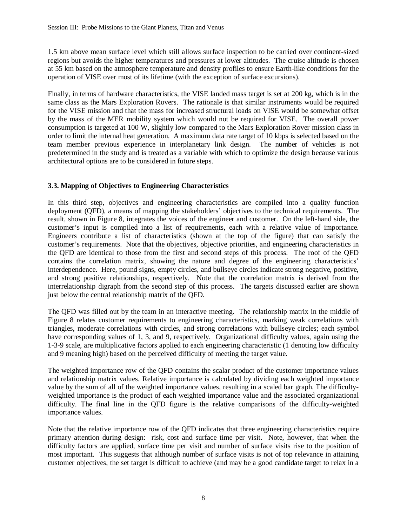1.5 km above mean surface level which still allows surface inspection to be carried over continent-sized regions but avoids the higher temperatures and pressures at lower altitudes. The cruise altitude is chosen at 55 km based on the atmosphere temperature and density profiles to ensure Earth-like conditions for the operation of VISE over most of its lifetime (with the exception of surface excursions).

Finally, in terms of hardware characteristics, the VISE landed mass target is set at 200 kg, which is in the same class as the Mars Exploration Rovers. The rationale is that similar instruments would be required for the VISE mission and that the mass for increased structural loads on VISE would be somewhat offset by the mass of the MER mobility system which would not be required for VISE. The overall power consumption is targeted at 100 W, slightly low compared to the Mars Exploration Rover mission class in order to limit the internal heat generation. A maximum data rate target of 10 kbps is selected based on the team member previous experience in interplanetary link design. The number of vehicles is not predetermined in the study and is treated as a variable with which to optimize the design because various architectural options are to be considered in future steps.

# **3.3. Mapping of Objectives to Engineering Characteristics**

In this third step, objectives and engineering characteristics are compiled into a quality function deployment (QFD), a means of mapping the stakeholders' objectives to the technical requirements. The result, shown in Figure 8, integrates the voices of the engineer and customer. On the left-hand side, the customer's input is compiled into a list of requirements, each with a relative value of importance. Engineers contribute a list of characteristics (shown at the top of the figure) that can satisfy the customer's requirements. Note that the objectives, objective priorities, and engineering characteristics in the QFD are identical to those from the first and second steps of this process. The roof of the QFD contains the correlation matrix, showing the nature and degree of the engineering characteristics' interdependence. Here, pound signs, empty circles, and bullseye circles indicate strong negative, positive, and strong positive relationships, respectively. Note that the correlation matrix is derived from the interrelationship digraph from the second step of this process. The targets discussed earlier are shown just below the central relationship matrix of the QFD.

The QFD was filled out by the team in an interactive meeting. The relationship matrix in the middle of Figure 8 relates customer requirements to engineering characteristics, marking weak correlations with triangles, moderate correlations with circles, and strong correlations with bullseye circles; each symbol have corresponding values of 1, 3, and 9, respectively. Organizational difficulty values, again using the 1-3-9 scale, are multiplicative factors applied to each engineering characteristic (1 denoting low difficulty and 9 meaning high) based on the perceived difficulty of meeting the target value.

The weighted importance row of the QFD contains the scalar product of the customer importance values and relationship matrix values. Relative importance is calculated by dividing each weighted importance value by the sum of all of the weighted importance values, resulting in a scaled bar graph. The difficultyweighted importance is the product of each weighted importance value and the associated organizational difficulty. The final line in the QFD figure is the relative comparisons of the difficulty-weighted importance values.

Note that the relative importance row of the QFD indicates that three engineering characteristics require primary attention during design: risk, cost and surface time per visit. Note, however, that when the difficulty factors are applied, surface time per visit and number of surface visits rise to the position of most important. This suggests that although number of surface visits is not of top relevance in attaining customer objectives, the set target is difficult to achieve (and may be a good candidate target to relax in a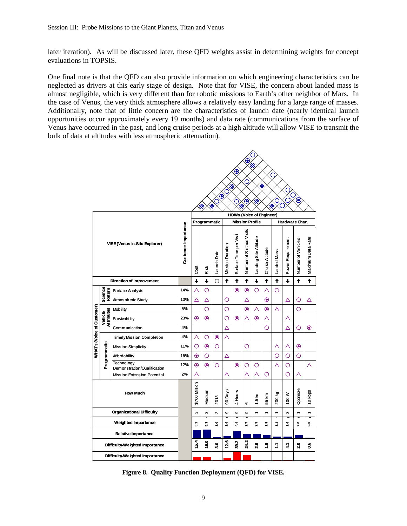later iteration). As will be discussed later, these QFD weights assist in determining weights for concept evaluations in TOPSIS.

One final note is that the QFD can also provide information on which engineering characteristics can be neglected as drivers at this early stage of design. Note that for VISE, the concern about landed mass is almost negligible, which is very different than for robotic missions to Earth's other neighbor of Mars. In the case of Venus, the very thick atmosphere allows a relatively easy landing for a large range of masses. Additionally, note that of little concern are the characteristics of launch date (nearly identical launch opportunities occur approximately every 19 months) and data rate (communications from the surface of Venus have occurred in the past, and long cruise periods at a high altitude will allow VISE to transmit the bulk of data at altitudes with less atmospheric attenuation).

| C<br>◉<br>☀<br>◉<br>С<br>C<br>☀<br>※<br>9<br>C<br>$\circ$<br>$\bullet$<br>Ő<br>$\bullet$<br>☀<br>C<br>O<br>O<br>×<br>☀<br>☀<br>☀<br><b>HOWs (Voice of Engineer)</b> |                                |                                           |     |                |               |                         |                        |                          |                          |                          |                |                   |                          |                   |          |
|---------------------------------------------------------------------------------------------------------------------------------------------------------------------|--------------------------------|-------------------------------------------|-----|----------------|---------------|-------------------------|------------------------|--------------------------|--------------------------|--------------------------|----------------|-------------------|--------------------------|-------------------|----------|
|                                                                                                                                                                     |                                |                                           |     |                | Programmatic  |                         |                        |                          | <b>Mission Profile</b>   |                          | Hardware Char. |                   |                          |                   |          |
| VISE (Venus In-Situ Explorer)                                                                                                                                       |                                | Customer Importance                       | 8g  | Risk           | Launch Date   | <b>Mission Duration</b> | Surface Time per Visit | Number of Surface Visits | Landing Site Alttude     | <b>Cruise Altitude</b>   | Landed Mass    | Power Requirement | Number of Vehicles       | Maximum Data Rate |          |
|                                                                                                                                                                     |                                | <b>Direction of Improvement</b>           |     | ↓              | ↓             | O                       | $\ddagger$             | $\ddagger$               | ↑                        | ↓                        | $\ddagger$     | $\ddagger$        | ↓                        | ↟                 | ↑        |
|                                                                                                                                                                     | Science<br>Return              | Surface Analysis                          | 14% | Δ              | O             |                         |                        | $\bullet$                | $\bullet$                | O                        | Δ              | O                 |                          |                   |          |
|                                                                                                                                                                     |                                | Atmospheric Study                         | 10% | Δ              | Δ             |                         | O                      |                          | Δ                        |                          | $\bullet$      |                   | Δ                        | Ο                 | Δ        |
|                                                                                                                                                                     |                                | <b>Mobility</b>                           | 5%  |                | O             |                         | O                      |                          | $\bullet$                | Δ                        | $\bf{O}$       | Δ                 |                          | O                 |          |
|                                                                                                                                                                     | <b>Attributes</b><br>Vehicle   | Survivability                             | 23% | $\circledcirc$ | $\bullet$     |                         | Ο                      | $\circledcirc$           | Δ                        | $\bullet$                | Δ              |                   | Δ                        |                   |          |
|                                                                                                                                                                     |                                | Communication                             | 4%  |                |               |                         | Δ                      |                          |                          |                          | O              |                   | Δ                        | O                 | $\bf{O}$ |
|                                                                                                                                                                     |                                | <b>TimelyMission Completion</b>           | 4%  | Δ              | O             | $\bullet$               | Δ                      |                          |                          |                          |                |                   |                          |                   |          |
| WHATs (Voice of Customer)                                                                                                                                           |                                | <b>Mission Simplicity</b>                 | 11% | O              | $\bullet$     | O                       |                        |                          | O                        |                          |                | Δ                 | Δ                        | ◉                 |          |
|                                                                                                                                                                     | Programmatic                   | Affordability                             | 15% | $\odot$        | O             |                         | Δ                      |                          |                          |                          |                | Ο                 | O                        | O                 |          |
|                                                                                                                                                                     |                                | Technology<br>Demonstration/Qualification | 12% | $\odot$        | $\bullet$     | O                       |                        | $\bullet$                | O                        | O                        |                | Δ                 | O                        |                   | Δ        |
|                                                                                                                                                                     |                                | Mission Extension Potential               | 2%  | Δ              |               |                         | Δ                      |                          | Δ                        | Δ                        | O              |                   | O                        | Δ                 |          |
| <b>How Much</b>                                                                                                                                                     |                                |                                           |     | \$700 Million  | Medium        | 2013                    | 90 Days                | 4 Hours                  | ဖ                        | 1.5 km                   | 55 km          | 200 kg            | 100W                     | Optimize          | 10 kbps  |
| <b>Organizational Difficulty</b>                                                                                                                                    |                                |                                           | S   | ო              | S             | Φ                       | စာ                     | თ                        | $\overline{\phantom{0}}$ | $\overline{\phantom{0}}$ | $\overline{ }$ | S                 | $\overline{\phantom{0}}$ | ÷                 |          |
| <b>Weighted Importance</b>                                                                                                                                          |                                |                                           |     | 5              | 5.3           | ្ម                      | 4                      | 4.4                      | 2.7                      | 2.9                      | $\ddot{ }$     | Ş                 | $\ddot{ }$               | 2.0               | e.6      |
|                                                                                                                                                                     |                                | <b>Relative Importance</b>                |     |                |               |                         |                        |                          |                          |                          |                |                   |                          |                   |          |
|                                                                                                                                                                     |                                | Difficulty-Weighted Importance            |     | 15.4           | $\frac{6}{5}$ | e.                      | 12.6                   | ٩<br>ళ్లే                | 24.2                     | 2.9                      | $\frac{1}{1}$  | Ξ                 | 4                        | 2.0               | ů.       |
|                                                                                                                                                                     | Difficulty-Weighted Importance |                                           |     |                |               |                         |                        |                          |                          |                          |                |                   |                          |                   |          |

**Figure 8. Quality Function Deployment (QFD) for VISE.**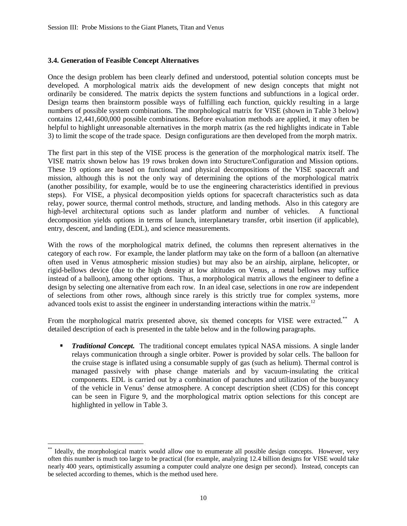## **3.4. Generation of Feasible Concept Alternatives**

Once the design problem has been clearly defined and understood, potential solution concepts must be developed. A morphological matrix aids the development of new design concepts that might not ordinarily be considered. The matrix depicts the system functions and subfunctions in a logical order. Design teams then brainstorm possible ways of fulfilling each function, quickly resulting in a large numbers of possible system combinations. The morphological matrix for VISE (shown in Table 3 below) contains 12,441,600,000 possible combinations. Before evaluation methods are applied, it may often be helpful to highlight unreasonable alternatives in the morph matrix (as the red highlights indicate in Table 3) to limit the scope of the trade space. Design configurations are then developed from the morph matrix.

The first part in this step of the VISE process is the generation of the morphological matrix itself. The VISE matrix shown below has 19 rows broken down into Structure/Configuration and Mission options. These 19 options are based on functional and physical decompositions of the VISE spacecraft and mission, although this is not the only way of determining the options of the morphological matrix (another possibility, for example, would be to use the engineering characteristics identified in previous steps). For VISE, a physical decomposition yields options for spacecraft characteristics such as data relay, power source, thermal control methods, structure, and landing methods. Also in this category are high-level architectural options such as lander platform and number of vehicles. A functional decomposition yields options in terms of launch, interplanetary transfer, orbit insertion (if applicable), entry, descent, and landing (EDL), and science measurements.

With the rows of the morphological matrix defined, the columns then represent alternatives in the category of each row. For example, the lander platform may take on the form of a balloon (an alternative often used in Venus atmospheric mission studies) but may also be an airship, airplane, helicopter, or rigid-bellows device (due to the high density at low altitudes on Venus, a metal bellows may suffice instead of a balloon), among other options. Thus, a morphological matrix allows the engineer to define a design by selecting one alternative from each row. In an ideal case, selections in one row are independent of selections from other rows, although since rarely is this strictly true for complex systems, more advanced tools exist to assist the engineer in understanding interactions within the matrix.<sup>12</sup>

From the morphological matrix presented above, six themed concepts for VISE were extracted.<sup>\*\*</sup> A detailed description of each is presented in the table below and in the following paragraphs.

**Traditional Concept.** The traditional concept emulates typical NASA missions. A single lander relays communication through a single orbiter. Power is provided by solar cells. The balloon for the cruise stage is inflated using a consumable supply of gas (such as helium). Thermal control is managed passively with phase change materials and by vacuum-insulating the critical components. EDL is carried out by a combination of parachutes and utilization of the buoyancy of the vehicle in Venus' dense atmosphere. A concept description sheet (CDS) for this concept can be seen in Figure 9, and the morphological matrix option selections for this concept are highlighted in yellow in Table 3.

<sup>&</sup>lt;u>.</u> \*\* Ideally, the morphological matrix would allow one to enumerate all possible design concepts. However, very often this number is much too large to be practical (for example, analyzing 12.4 billion designs for VISE would take nearly 400 years, optimistically assuming a computer could analyze one design per second). Instead, concepts can be selected according to themes, which is the method used here.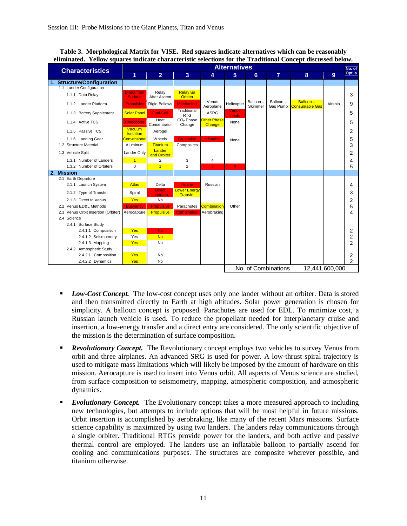| <b>Characteristics</b>              | <b>Alternatives</b>                  |                                   |                                        |                              |                         |                     |                      |                                   |                | No. of         |
|-------------------------------------|--------------------------------------|-----------------------------------|----------------------------------------|------------------------------|-------------------------|---------------------|----------------------|-----------------------------------|----------------|----------------|
|                                     | 1                                    | $\overline{2}$                    | 3                                      | 4                            | 5                       | 6                   | $\overline{7}$       | 8                                 | 9 <sup>°</sup> | Opt.'s         |
| 1. Structure/Configuration          |                                      |                                   |                                        |                              |                         |                     |                      |                                   |                |                |
| 1.1 Lander Configuration            |                                      |                                   |                                        |                              |                         |                     |                      |                                   |                |                |
| 1.1.1 Data Relay                    | <b>Direct from</b><br><b>Surface</b> | Relay<br>After Ascent             | <b>Relay via</b><br>Orbiter            |                              |                         |                     |                      |                                   |                | 3              |
| 1.1.2 Lander Platform               | <b>Propulsive</b>                    | <b>Rigid Bellows</b>              | <b>Mechanical</b>                      | Venus<br>Aeroplane           | Helicopter              | Balloon-<br>Skimmer | Balloon-<br>Gas Pump | Balloon-<br><b>Consumable Gas</b> | Airship        | 9              |
| 1.1.3 Battery Supplement            | <b>Solar Panel</b>                   | <b>Fuel Cell</b>                  | Traditional<br><b>RTG</b>              | <b>ASRG</b>                  | <b>Venus</b><br>In-situ |                     |                      |                                   |                | 5              |
| 1.1.4 Active TCS                    | Cryocooler                           | Heat<br>Concentrator              | CO <sub>2</sub> Phase<br>Change        | <b>Other Phase</b><br>Change | None                    |                     |                      |                                   |                | 5              |
| 1.1.5 Passive TCS                   | Vacuum<br><b>Isolation</b>           | Aerogel                           |                                        |                              |                         |                     |                      |                                   |                | 2              |
| 1.1.6 Landing Gear                  | <b>Conventional</b>                  | Wheels                            | Crushable                              | <b>Inflatable</b>            | None                    |                     |                      |                                   |                | 5              |
| 1.2 Structure Material              | Aluminum                             | <b>Titanium</b>                   | Composites                             |                              |                         |                     |                      |                                   |                | 3              |
| 1.3 Vehicle Split                   | Lander Only                          | Lander<br>and Orbiter             |                                        |                              |                         |                     |                      |                                   |                | 2              |
| 1.3.1 Number of Landers             | $\mathbf{1}$                         | 2                                 | 3                                      | 4                            |                         |                     |                      |                                   |                | 4              |
| 1.3.2 Number of Orbiters            | $\Omega$                             | $\overline{1}$                    | $\overline{2}$                         | 3                            | $\overline{4}$          |                     |                      |                                   |                | 5              |
| 2. Mission                          |                                      |                                   |                                        |                              |                         |                     |                      |                                   |                |                |
| 2.1 Earth Departure                 |                                      |                                   |                                        |                              |                         |                     |                      |                                   |                |                |
| 2.1.1 Launch System                 | <b>Atlas</b>                         | Delta                             | <b>Ariane</b>                          | Russian                      |                         |                     |                      |                                   |                | 4              |
| 2.1.2 Type of Transfer              | Spiral                               | <b>Direct</b><br><b>Insertion</b> | <b>Lower Energy</b><br><b>Transfer</b> |                              |                         |                     |                      |                                   |                | 3              |
| 2.1.3 Direct to Venus               | <b>Yes</b>                           | <b>No</b>                         |                                        |                              |                         |                     |                      |                                   |                | 2              |
| 2.2 Venus ED&L Methods              | <b>Buoyancy</b>                      | <b>Propulsive</b>                 | Parachutes                             | Combination                  | Other                   |                     |                      |                                   |                | 5              |
| 2.3 Venus Orbit Insertion (Orbiter) | Aerocapture                          | <b>Propulsive</b>                 | <b>Combination</b>                     | Aerobraking                  |                         |                     |                      |                                   |                | 4              |
| 2.4 Science                         |                                      |                                   |                                        |                              |                         |                     |                      |                                   |                |                |
| 2.4.1 Surface Study                 |                                      |                                   |                                        |                              |                         |                     |                      |                                   |                |                |
| 2.4.1.1 Composition                 | Yes                                  | No.                               |                                        |                              |                         |                     |                      |                                   |                | $\overline{2}$ |
| 2.4.1.2 Seismometry                 | Yes                                  | <b>No</b>                         |                                        |                              |                         |                     |                      |                                   |                | $\overline{2}$ |
| 2.4.1.3 Mapping                     | <b>Yes</b>                           | <b>No</b>                         |                                        |                              |                         |                     |                      |                                   |                | $\overline{2}$ |
| 2.4.2 Atmospheric Study             |                                      |                                   |                                        |                              |                         |                     |                      |                                   |                |                |
| 2.4.2.1 Composition                 | Yes                                  | <b>No</b>                         |                                        |                              |                         |                     |                      |                                   |                | $\overline{2}$ |
| 2.4.2.2 Dynamics                    | Yes                                  | <b>No</b>                         |                                        |                              |                         |                     |                      |                                   |                | 2              |
|                                     |                                      |                                   |                                        |                              |                         |                     | No. of Combinations  |                                   | 12,441,600,000 |                |

**Table 3. Morphological Matrix for VISE. Red squares indicate alternatives which can be reasonably eliminated. Yellow squares indicate characteristic selections for the Traditional Concept discussed below.** 

- **Low-Cost Concept.** The low-cost concept uses only one lander without an orbiter. Data is stored and then transmitted directly to Earth at high altitudes. Solar power generation is chosen for simplicity. A balloon concept is proposed. Parachutes are used for EDL. To minimize cost, a Russian launch vehicle is used. To reduce the propellant needed for interplanetary cruise and insertion, a low-energy transfer and a direct entry are considered. The only scientific objective of the mission is the determination of surface composition.
- **Revolutionary Concept.** The Revolutionary concept employs two vehicles to survey Venus from orbit and three airplanes. An advanced SRG is used for power. A low-thrust spiral trajectory is used to mitigate mass limitations which will likely be imposed by the amount of hardware on this mission. Aerocapture is used to insert into Venus orbit. All aspects of Venus science are studied, from surface composition to seismometry, mapping, atmospheric composition, and atmospheric dynamics.
- **Evolutionary Concept.** The Evolutionary concept takes a more measured approach to including new technologies, but attempts to include options that will be most helpful in future missions. Orbit insertion is accomplished by aerobraking, like many of the recent Mars missions. Surface science capability is maximized by using two landers. The landers relay communications through a single orbiter. Traditional RTGs provide power for the landers, and both active and passive thermal control are employed. The landers use an inflatable balloon to partially ascend for cooling and communications purposes. The structures are composite wherever possible, and titanium otherwise.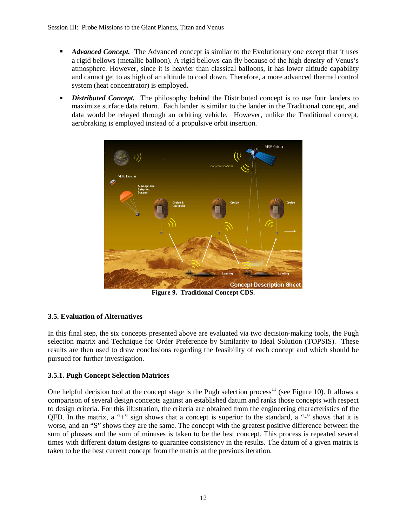- **Advanced Concept.** The Advanced concept is similar to the Evolutionary one except that it uses a rigid bellows (metallic balloon). A rigid bellows can fly because of the high density of Venus's atmosphere. However, since it is heavier than classical balloons, it has lower altitude capability and cannot get to as high of an altitude to cool down. Therefore, a more advanced thermal control system (heat concentrator) is employed.
- *Distributed Concept.* The philosophy behind the Distributed concept is to use four landers to maximize surface data return. Each lander is similar to the lander in the Traditional concept, and data would be relayed through an orbiting vehicle. However, unlike the Traditional concept, aerobraking is employed instead of a propulsive orbit insertion.



**Figure 9. Traditional Concept CDS.**

# **3.5. Evaluation of Alternatives**

In this final step, the six concepts presented above are evaluated via two decision-making tools, the Pugh selection matrix and Technique for Order Preference by Similarity to Ideal Solution (TOPSIS). These results are then used to draw conclusions regarding the feasibility of each concept and which should be pursued for further investigation.

# **3.5.1. Pugh Concept Selection Matrices**

One helpful decision tool at the concept stage is the Pugh selection process<sup>11</sup> (see Figure 10). It allows a comparison of several design concepts against an established datum and ranks those concepts with respect to design criteria. For this illustration, the criteria are obtained from the engineering characteristics of the QFD. In the matrix, a "+" sign shows that a concept is superior to the standard, a "-" shows that it is worse, and an "S" shows they are the same. The concept with the greatest positive difference between the sum of plusses and the sum of minuses is taken to be the best concept. This process is repeated several times with different datum designs to guarantee consistency in the results. The datum of a given matrix is taken to be the best current concept from the matrix at the previous iteration.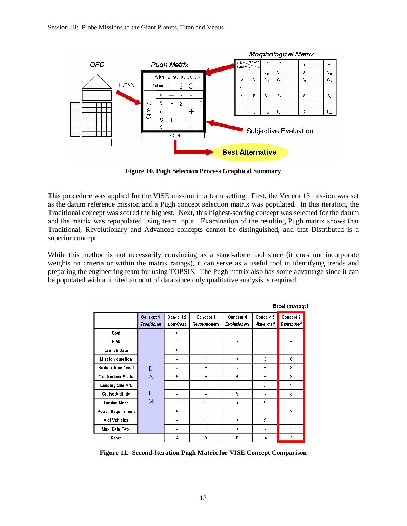

**Figure 10. Pugh Selection Process Graphical Summary**

This procedure was applied for the VISE mission in a team setting. First, the Venera 13 mission was set as the datum reference mission and a Pugh concept selection matrix was populated. In this iteration, the Traditional concept was scored the highest. Next, this highest-scoring concept was selected for the datum and the matrix was repopulated using team input. Examination of the resulting Pugh matrix shows that Traditional, Revolutionary and Advanced concepts cannot be distinguished, and that Distributed is a superior concept.

While this method is not necessarily convincing as a stand-alone tool since (it does not incorporate weights on criteria or within the matrix ratings), it can serve as a useful tool in identifying trends and preparing the engineering team for using TOPSIS. The Pugh matrix also has some advantage since it can be populated with a limited amount of data since only qualitative analysis is required.

|                          | Concept 1<br>Traditional | Concept 2<br>Low-Cost | Concept 3<br>Revolutionary | Concept 4<br>Evolutionary | Concept 5<br>Advanced    | Concept 6<br>Distributed |
|--------------------------|--------------------------|-----------------------|----------------------------|---------------------------|--------------------------|--------------------------|
| Cost                     |                          | $+$                   |                            |                           |                          |                          |
| Risk                     |                          |                       |                            | S                         |                          | $+$                      |
| <b>Launch Date</b>       |                          | $+$                   |                            |                           |                          |                          |
| <b>Mission duration</b>  |                          |                       | $+$                        | $\ddot{}$                 | S                        | S                        |
| Surface time / visit     | D                        |                       | $+$                        |                           | $^{+}$                   | S.                       |
| # of Surface Visits      | A                        | $+$                   | $+$                        | $+$                       | $+$                      | S                        |
| Landing Site Alt.        | T                        |                       |                            |                           | S                        | S                        |
| <b>Cruise Altitude</b>   | U                        |                       |                            | S                         |                          | S                        |
| <b>Landed Mass</b>       | Μ                        |                       | $\ddot{}$                  | $+$                       | S                        | $+$                      |
| <b>Power Requirement</b> |                          | $+$                   |                            |                           |                          | S                        |
| # of Vehicles            |                          |                       | $+$                        | $+$                       | S                        | $\ddot{}$                |
| Max. Data Rate           |                          |                       | $+$                        | $+$                       |                          | $\ddot{}$                |
| Score                    |                          | -4                    | 0                          | 0                         | $\overline{\mathcal{A}}$ | 2                        |

**Best concent** 

**Figure 11. Second-Iteration Pugh Matrix for VISE Concept Comparison**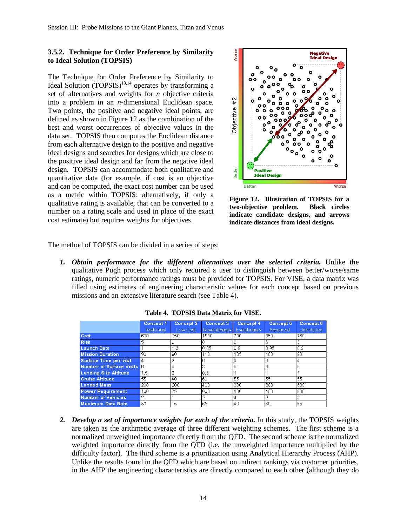#### **3.5.2. Technique for Order Preference by Similarity to Ideal Solution (TOPSIS)**

The Technique for Order Preference by Similarity to Ideal Solution  $(TOPSIS)^{13,14}$  operates by transforming a set of alternatives and weights for *n* objective criteria into a problem in an *n*-dimensional Euclidean space. Two points, the positive and negative ideal points, are defined as shown in Figure 12 as the combination of the best and worst occurrences of objective values in the data set. TOPSIS then computes the Euclidean distance from each alternative design to the positive and negative ideal designs and searches for designs which are close to the positive ideal design and far from the negative ideal design. TOPSIS can accommodate both qualitative and quantitative data (for example, if cost is an objective and can be computed, the exact cost number can be used as a metric within TOPSIS; alternatively, if only a qualitative rating is available, that can be converted to a number on a rating scale and used in place of the exact cost estimate) but requires weights for objectives.



**Figure 12. Illustration of TOPSIS for a two-objective problem. Black circles indicate candidate designs, and arrows indicate distances from ideal designs.** 

The method of TOPSIS can be divided in a series of steps:

| problem in an <i>n</i> -dimensional Euclidean space.<br>ints, the positive and negative ideal points, are<br>as shown in Figure 12 as the combination of the<br>I worst occurrences of objective values in the<br>TOPSIS then computes the Euclidean distance<br>ch alternative design to the positive and negative<br>signs and searches for designs which are close to<br>tive ideal design and far from the negative ideal<br>TOPSIS can accommodate both qualitative and<br>tive data (for example, if cost is an objective<br>be computed, the exact cost number can be used<br>etric within TOPSIS; alternatively, if only a<br>ve rating is available, that can be converted to a<br>on a rating scale and used in place of the exact<br>mate) but requires weights for objectives. |                          |                       |                            | #2<br>Objective<br>Better<br>Positive<br><b>Ideal Design</b><br><b>Better</b><br>Worse<br>Figure 12. Illustration of TOPSIS for a<br>two-objective problem.<br><b>Black</b> circles<br>indicate candidate designs, and arrows<br>indicate distances from ideal designs. |                       |                          |  |  |  |
|--------------------------------------------------------------------------------------------------------------------------------------------------------------------------------------------------------------------------------------------------------------------------------------------------------------------------------------------------------------------------------------------------------------------------------------------------------------------------------------------------------------------------------------------------------------------------------------------------------------------------------------------------------------------------------------------------------------------------------------------------------------------------------------------|--------------------------|-----------------------|----------------------------|-------------------------------------------------------------------------------------------------------------------------------------------------------------------------------------------------------------------------------------------------------------------------|-----------------------|--------------------------|--|--|--|
| hod of TOPSIS can be divided in a series of steps:                                                                                                                                                                                                                                                                                                                                                                                                                                                                                                                                                                                                                                                                                                                                         |                          |                       |                            |                                                                                                                                                                                                                                                                         |                       |                          |  |  |  |
| qualitative Pugh process which only required a user to distinguish between better/worse/same<br>ratings, numeric performance ratings must be provided for TOPSIS. For VISE, a data matrix was<br>filled using estimates of engineering characteristic values for each concept based on previous<br>missions and an extensive literature search (see Table 4).<br>Table 4. TOPSIS Data Matrix for VISE.                                                                                                                                                                                                                                                                                                                                                                                     |                          |                       |                            |                                                                                                                                                                                                                                                                         |                       |                          |  |  |  |
|                                                                                                                                                                                                                                                                                                                                                                                                                                                                                                                                                                                                                                                                                                                                                                                            | Concept 1<br>Traditional | Concept 2<br>Low-Cost | Concept 3<br>Revolutionary | Concept 4<br>Evolutionary                                                                                                                                                                                                                                               | Concept 5<br>Advanced | Concept 6<br>Distributed |  |  |  |
|                                                                                                                                                                                                                                                                                                                                                                                                                                                                                                                                                                                                                                                                                                                                                                                            |                          |                       |                            |                                                                                                                                                                                                                                                                         |                       |                          |  |  |  |
|                                                                                                                                                                                                                                                                                                                                                                                                                                                                                                                                                                                                                                                                                                                                                                                            |                          |                       |                            |                                                                                                                                                                                                                                                                         |                       |                          |  |  |  |
| Cost                                                                                                                                                                                                                                                                                                                                                                                                                                                                                                                                                                                                                                                                                                                                                                                       | 600                      | 350                   | 1500                       | 700                                                                                                                                                                                                                                                                     | 850                   | 750                      |  |  |  |
| <b>Risk</b><br><b>Launch Date</b>                                                                                                                                                                                                                                                                                                                                                                                                                                                                                                                                                                                                                                                                                                                                                          | 5<br>1                   | 9<br>1.3              | 0.85                       | 6<br>0.9                                                                                                                                                                                                                                                                | 6<br>0.95             | 3<br>0.9                 |  |  |  |
| <b>Mission Duration</b>                                                                                                                                                                                                                                                                                                                                                                                                                                                                                                                                                                                                                                                                                                                                                                    | 90                       | 90                    | 110                        | 105                                                                                                                                                                                                                                                                     | 100                   | 90                       |  |  |  |
| Surface Time per visit                                                                                                                                                                                                                                                                                                                                                                                                                                                                                                                                                                                                                                                                                                                                                                     | 4                        | 2                     | 6                          | 4                                                                                                                                                                                                                                                                       | 6                     | 4                        |  |  |  |
| <b>Number of Surface Visits</b>                                                                                                                                                                                                                                                                                                                                                                                                                                                                                                                                                                                                                                                                                                                                                            | 6                        | 6                     | 8                          | 6                                                                                                                                                                                                                                                                       | 6                     | 6                        |  |  |  |
| <b>Landing Site Altitude</b>                                                                                                                                                                                                                                                                                                                                                                                                                                                                                                                                                                                                                                                                                                                                                               | 1.5                      | 2                     | 0.5                        | 1                                                                                                                                                                                                                                                                       | 1                     |                          |  |  |  |
| <b>Cruise Altitude</b>                                                                                                                                                                                                                                                                                                                                                                                                                                                                                                                                                                                                                                                                                                                                                                     | 55                       | 40                    | 60                         | 55                                                                                                                                                                                                                                                                      | 55                    | 55                       |  |  |  |
| <b>Landed Mass</b>                                                                                                                                                                                                                                                                                                                                                                                                                                                                                                                                                                                                                                                                                                                                                                         | 200                      | 200                   | 400                        | 300                                                                                                                                                                                                                                                                     | 200                   | 600                      |  |  |  |
| Power Requirement                                                                                                                                                                                                                                                                                                                                                                                                                                                                                                                                                                                                                                                                                                                                                                          | 100                      | 75                    | 600                        | 100                                                                                                                                                                                                                                                                     | 400                   | 600                      |  |  |  |
| Number of Vehicles                                                                                                                                                                                                                                                                                                                                                                                                                                                                                                                                                                                                                                                                                                                                                                         |                          |                       |                            |                                                                                                                                                                                                                                                                         |                       | p                        |  |  |  |
| <b>Maximum Data Rate</b>                                                                                                                                                                                                                                                                                                                                                                                                                                                                                                                                                                                                                                                                                                                                                                   | 30                       |                       | 65                         | 40                                                                                                                                                                                                                                                                      | 30                    | 65                       |  |  |  |
| Develop a set of importance weights for each of the criteria. In this study, the TOPSIS weights<br>are taken as the arithmetic average of three different weighting schemes. The first scheme is a<br>normalized unweighted importance directly from the QFD. The second scheme is the normalized<br>weighted importance directly from the QFD (i.e. the unweighted importance multiplied by the<br>difficulty factor). The third scheme is a prioritization using Analytical Hierarchy Process (AHP).<br>Unlike the results found in the QFD which are based on indirect rankings via customer priorities,<br>in the AHP the engineering characteristics are directly compared to each other (although they do                                                                            |                          |                       |                            |                                                                                                                                                                                                                                                                         |                       |                          |  |  |  |

**Table 4. TOPSIS Data Matrix for VISE.**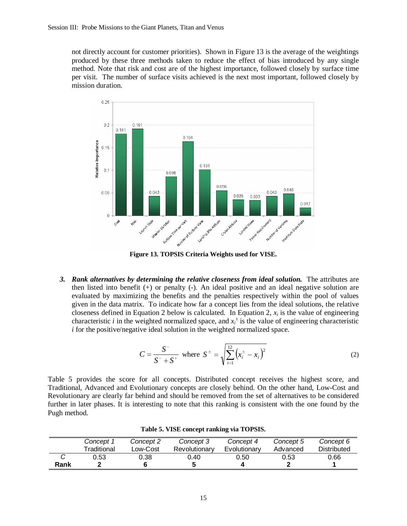not directly account for customer priorities). Shown in Figure 13 is the average of the weightings produced by these three methods taken to reduce the effect of bias introduced by any single method. Note that risk and cost are of the highest importance, followed closely by surface time per visit. The number of surface visits achieved is the next most important, followed closely by mission duration.



**Figure 13. TOPSIS Criteria Weights used for VISE.** 

*3. Rank alternatives by determining the relative closeness from ideal solution.* The attributes are then listed into benefit (+) or penalty (-). An ideal positive and an ideal negative solution are evaluated by maximizing the benefits and the penalties respectively within the pool of values given in the data matrix. To indicate how far a concept lies from the ideal solutions, the relative closeness defined in Equation 2 below is calculated. In Equation 2,  $x_i$  is the value of engineering characteristic *i* in the weighted normalized space, and  $x_i^{\pm}$  is the value of engineering characteristic *i* for the positive/negative ideal solution in the weighted normalized space.

$$
C = \frac{S^{-}}{S^{-} + S^{+}} \text{ where } S^{\pm} = \sqrt{\sum_{i=1}^{12} (x_i^{\pm} - x_i)^2}
$$
 (2)

Table 5 provides the score for all concepts. Distributed concept receives the highest score, and Traditional, Advanced and Evolutionary concepts are closely behind. On the other hand, Low-Cost and Revolutionary are clearly far behind and should be removed from the set of alternatives to be considered further in later phases. It is interesting to note that this ranking is consistent with the one found by the Pugh method.

|      | Concept 1   | Concept 2 | Concept 3     | Concept 4    | Concept 5 | Concept 6   |
|------|-------------|-----------|---------------|--------------|-----------|-------------|
|      | Traditional | _ow-Cost  | Revolutionary | Evolutionary | Advanced  | Distributed |
| Rank | 0.53        | 0.38      | 0.40          | 0.50         | 0.53      | 0.66        |

**Table 5. VISE concept ranking via TOPSIS.**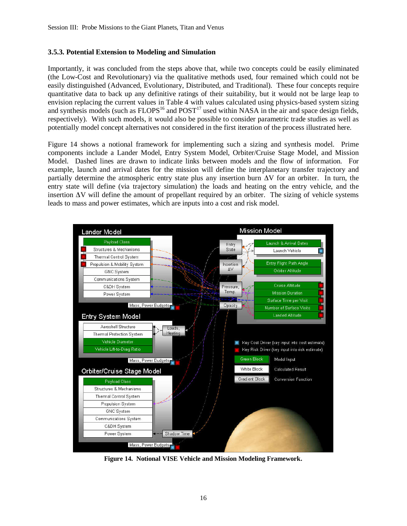#### **3.5.3. Potential Extension to Modeling and Simulation**

Importantly, it was concluded from the steps above that, while two concepts could be easily eliminated (the Low-Cost and Revolutionary) via the qualitative methods used, four remained which could not be easily distinguished (Advanced, Evolutionary, Distributed, and Traditional). These four concepts require quantitative data to back up any definitive ratings of their suitability, but it would not be large leap to envision replacing the current values in Table 4 with values calculated using physics-based system sizing and synthesis models (such as  $FLOPS<sup>16</sup>$  and  $POST<sup>17</sup>$  used within NASA in the air and space design fields, respectively). With such models, it would also be possible to consider parametric trade studies as well as potentially model concept alternatives not considered in the first iteration of the process illustrated here.

Figure 14 shows a notional framework for implementing such a sizing and synthesis model. Prime components include a Lander Model, Entry System Model, Orbiter/Cruise Stage Model, and Mission Model. Dashed lines are drawn to indicate links between models and the flow of information. For example, launch and arrival dates for the mission will define the interplanetary transfer trajectory and partially determine the atmospheric entry state plus any insertion burn ∆V for an orbiter. In turn, the entry state will define (via trajectory simulation) the loads and heating on the entry vehicle, and the insertion ∆V will define the amount of propellant required by an orbiter. The sizing of vehicle systems leads to mass and power estimates, which are inputs into a cost and risk model.



**Figure 14. Notional VISE Vehicle and Mission Modeling Framework.**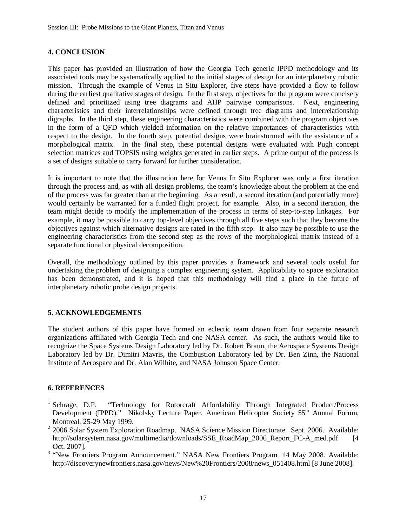## **4. CONCLUSION**

This paper has provided an illustration of how the Georgia Tech generic IPPD methodology and its associated tools may be systematically applied to the initial stages of design for an interplanetary robotic mission. Through the example of Venus In Situ Explorer, five steps have provided a flow to follow during the earliest qualitative stages of design. In the first step, objectives for the program were concisely defined and prioritized using tree diagrams and AHP pairwise comparisons. Next, engineering characteristics and their interrelationships were defined through tree diagrams and interrelationship digraphs. In the third step, these engineering characteristics were combined with the program objectives in the form of a QFD which yielded information on the relative importances of characteristics with respect to the design. In the fourth step, potential designs were brainstormed with the assistance of a morphological matrix. In the final step, these potential designs were evaluated with Pugh concept selection matrices and TOPSIS using weights generated in earlier steps. A prime output of the process is a set of designs suitable to carry forward for further consideration.

It is important to note that the illustration here for Venus In Situ Explorer was only a first iteration through the process and, as with all design problems, the team's knowledge about the problem at the end of the process was far greater than at the beginning. As a result, a second iteration (and potentially more) would certainly be warranted for a funded flight project, for example. Also, in a second iteration, the team might decide to modify the implementation of the process in terms of step-to-step linkages. For example, it may be possible to carry top-level objectives through all five steps such that they become the objectives against which alternative designs are rated in the fifth step. It also may be possible to use the engineering characteristics from the second step as the rows of the morphological matrix instead of a separate functional or physical decomposition.

Overall, the methodology outlined by this paper provides a framework and several tools useful for undertaking the problem of designing a complex engineering system. Applicability to space exploration has been demonstrated, and it is hoped that this methodology will find a place in the future of interplanetary robotic probe design projects.

# **5. ACKNOWLEDGEMENTS**

The student authors of this paper have formed an eclectic team drawn from four separate research organizations affiliated with Georgia Tech and one NASA center. As such, the authors would like to recognize the Space Systems Design Laboratory led by Dr. Robert Braun, the Aerospace Systems Design Laboratory led by Dr. Dimitri Mavris, the Combustion Laboratory led by Dr. Ben Zinn, the National Institute of Aerospace and Dr. Alan Wilhite, and NASA Johnson Space Center.

## **6. REFERENCES**

- $<sup>1</sup>$  Schrage, D.P.</sup> "Technology for Rotorcraft Affordability Through Integrated Product/Process Development (IPPD)." Nikolsky Lecture Paper. American Helicopter Society 55<sup>th</sup> Annual Forum, Montreal, 25-29 May 1999.
- <sup>2</sup> 2006 Solar System Exploration Roadmap. NASA Science Mission Directorate. Sept. 2006. Available: http://solarsystem.nasa.gov/multimedia/downloads/SSE\_RoadMap\_2006\_Report\_FC-A\_med.pdf [4] Oct. 2007].
- <sup>3</sup> "New Frontiers Program Announcement." NASA New Frontiers Program. 14 May 2008. Available: http://discoverynewfrontiers.nasa.gov/news/New%20Frontiers/2008/news\_051408.html [8 June 2008].